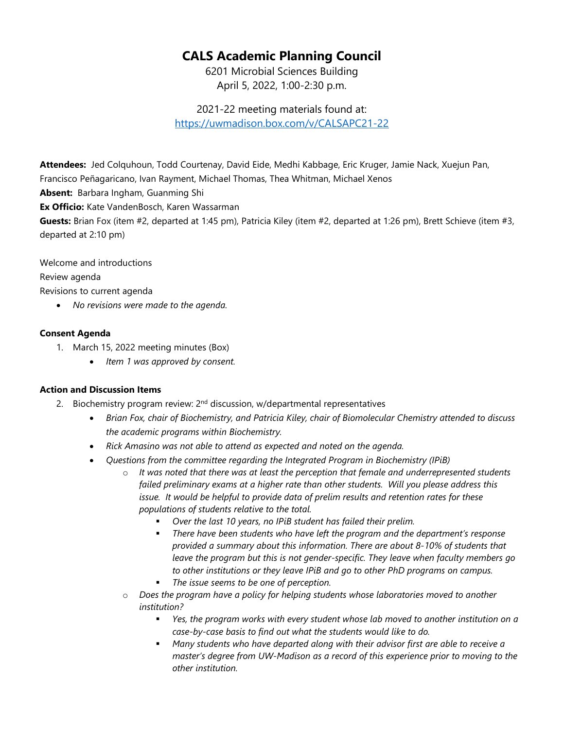## **CALS Academic Planning Council**

6201 Microbial Sciences Building April 5, 2022, 1:00-2:30 p.m.

2021-22 meeting materials found at: <https://uwmadison.box.com/v/CALSAPC21-22>

**Attendees:** Jed Colquhoun, Todd Courtenay, David Eide, Medhi Kabbage, Eric Kruger, Jamie Nack, Xuejun Pan, Francisco Peñagaricano, Ivan Rayment, Michael Thomas, Thea Whitman, Michael Xenos

**Absent:** Barbara Ingham, Guanming Shi

**Ex Officio:** Kate VandenBosch, Karen Wassarman

**Guests:** Brian Fox (item #2, departed at 1:45 pm), Patricia Kiley (item #2, departed at 1:26 pm), Brett Schieve (item #3, departed at 2:10 pm)

Welcome and introductions Review agenda Revisions to current agenda

• *No revisions were made to the agenda.*

## **Consent Agenda**

- 1. March 15, 2022 meeting minutes (Box)
	- *Item 1 was approved by consent.*

## **Action and Discussion Items**

- 2. Biochemistry program review:  $2<sup>nd</sup>$  discussion, w/departmental representatives
	- *Brian Fox, chair of Biochemistry, and Patricia Kiley, chair of Biomolecular Chemistry attended to discuss the academic programs within Biochemistry.*
	- *Rick Amasino was not able to attend as expected and noted on the agenda.*
	- *Questions from the committee regarding the Integrated Program in Biochemistry (IPiB)*
		- o *It was noted that there was at least the perception that female and underrepresented students failed preliminary exams at a higher rate than other students. Will you please address this issue. It would be helpful to provide data of prelim results and retention rates for these populations of students relative to the total.*
			- *Over the last 10 years, no IPiB student has failed their prelim.*
			- *There have been students who have left the program and the department's response provided a summary about this information. There are about 8-10% of students that leave the program but this is not gender-specific. They leave when faculty members go to other institutions or they leave IPiB and go to other PhD programs on campus.*
			- *The issue seems to be one of perception.*
		- o *Does the program have a policy for helping students whose laboratories moved to another institution?*
			- *Yes, the program works with every student whose lab moved to another institution on a case-by-case basis to find out what the students would like to do.*
			- *Many students who have departed along with their advisor first are able to receive a master's degree from UW-Madison as a record of this experience prior to moving to the other institution.*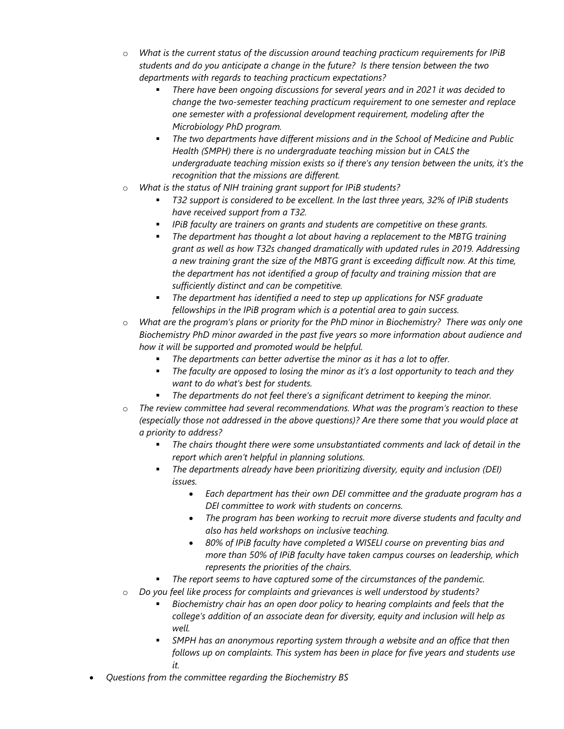- o *What is the current status of the discussion around teaching practicum requirements for IPiB students and do you anticipate a change in the future? Is there tension between the two departments with regards to teaching practicum expectations?*
	- *There have been ongoing discussions for several years and in 2021 it was decided to change the two-semester teaching practicum requirement to one semester and replace one semester with a professional development requirement, modeling after the Microbiology PhD program.*
	- *The two departments have different missions and in the School of Medicine and Public Health (SMPH) there is no undergraduate teaching mission but in CALS the undergraduate teaching mission exists so if there's any tension between the units, it's the recognition that the missions are different.*
- o *What is the status of NIH training grant support for IPiB students?*
	- *T32 support is considered to be excellent. In the last three years, 32% of IPiB students have received support from a T32.*
	- *IPiB faculty are trainers on grants and students are competitive on these grants.*
	- *The department has thought a lot about having a replacement to the MBTG training grant as well as how T32s changed dramatically with updated rules in 2019. Addressing a new training grant the size of the MBTG grant is exceeding difficult now. At this time, the department has not identified a group of faculty and training mission that are sufficiently distinct and can be competitive.*
	- *The department has identified a need to step up applications for NSF graduate fellowships in the IPiB program which is a potential area to gain success.*
- o *What are the program's plans or priority for the PhD minor in Biochemistry? There was only one Biochemistry PhD minor awarded in the past five years so more information about audience and how it will be supported and promoted would be helpful.* 
	- *The departments can better advertise the minor as it has a lot to offer.*
	- *The faculty are opposed to losing the minor as it's a lost opportunity to teach and they want to do what's best for students.*
	- *The departments do not feel there's a significant detriment to keeping the minor.*
- o *The review committee had several recommendations. What was the program's reaction to these (especially those not addressed in the above questions)? Are there some that you would place at a priority to address?*
	- *The chairs thought there were some unsubstantiated comments and lack of detail in the report which aren't helpful in planning solutions.*
	- *The departments already have been prioritizing diversity, equity and inclusion (DEI) issues.* 
		- *Each department has their own DEI committee and the graduate program has a DEI committee to work with students on concerns.*
		- *The program has been working to recruit more diverse students and faculty and also has held workshops on inclusive teaching.*
		- *80% of IPiB faculty have completed a WISELI course on preventing bias and more than 50% of IPiB faculty have taken campus courses on leadership, which represents the priorities of the chairs.*
	- *The report seems to have captured some of the circumstances of the pandemic.*
- o *Do you feel like process for complaints and grievances is well understood by students?*
	- *Biochemistry chair has an open door policy to hearing complaints and feels that the college's addition of an associate dean for diversity, equity and inclusion will help as well.*
	- *SMPH has an anonymous reporting system through a website and an office that then follows up on complaints. This system has been in place for five years and students use it.*
- *Questions from the committee regarding the Biochemistry BS*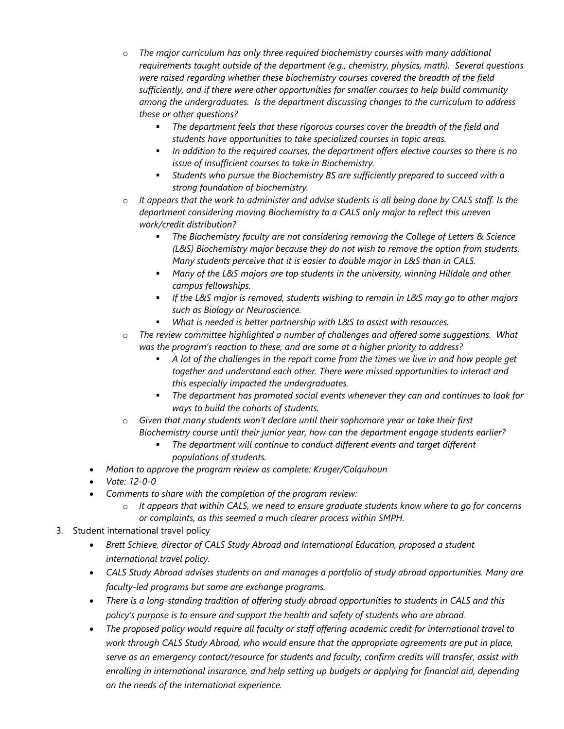- o *The major curriculum has only three required biochemistry courses with many additional requirements taught outside of the department (e.g., chemistry, physics, math). Several questions were raised regarding whether these biochemistry courses covered the breadth of the field sufficiently, and if there were other opportunities for smaller courses to help build community among the undergraduates. Is the department discussing changes to the curriculum to address these or other questions?*
	- *The department feels that these rigorous courses cover the breadth of the field and students have opportunities to take specialized courses in topic areas.*
	- *In addition to the required courses, the department offers elective courses so there is no issue of insufficient courses to take in Biochemistry.*
	- *Students who pursue the Biochemistry BS are sufficiently prepared to succeed with a strong foundation of biochemistry.*
- o *It appears that the work to administer and advise students is all being done by CALS staff. Is the department considering moving Biochemistry to a CALS only major to reflect this uneven work/credit distribution?*
	- *The Biochemistry faculty are not considering removing the College of Letters & Science (L&S) Biochemistry major because they do not wish to remove the option from students. Many students perceive that it is easier to double major in L&S than in CALS.*
	- *Many of the L&S majors are top students in the university, winning Hilldale and other campus fellowships.*
	- *If the L&S major is removed, students wishing to remain in L&S may go to other majors such as Biology or Neuroscience.*
	- *What is needed is better partnership with L&S to assist with resources.*
- o *The review committee highlighted a number of challenges and offered some suggestions. What was the program's reaction to these, and are some at a higher priority to address?*
	- *A lot of the challenges in the report come from the times we live in and how people get together and understand each other. There were missed opportunities to interact and this especially impacted the undergraduates.*
	- *The department has promoted social events whenever they can and continues to look for ways to build the cohorts of students.*
- Given that many students won't declare until their sophomore year or take their first *Biochemistry course until their junior year, how can the department engage students earlier?*
	- *The department will continue to conduct different events and target different populations of students.*
- *Motion to approve the program review as complete: Kruger/Colquhoun*
- *Vote: 12-0-0*
- *Comments to share with the completion of the program review:*
	- o *It appears that within CALS, we need to ensure graduate students know where to go for concerns or complaints, as this seemed a much clearer process within SMPH.*
- 3. Student international travel policy
	- *Brett Schieve, director of CALS Study Abroad and International Education, proposed a student international travel policy.*
	- *CALS Study Abroad advises students on and manages a portfolio of study abroad opportunities. Many are faculty-led programs but some are exchange programs.*
	- *There is a long-standing tradition of offering study abroad opportunities to students in CALS and this policy's purpose is to ensure and support the health and safety of students who are abroad.*
	- *The proposed policy would require all faculty or staff offering academic credit for international travel to work through CALS Study Abroad, who would ensure that the appropriate agreements are put in place, serve as an emergency contact/resource for students and faculty, confirm credits will transfer, assist with enrolling in international insurance, and help setting up budgets or applying for financial aid, depending on the needs of the international experience.*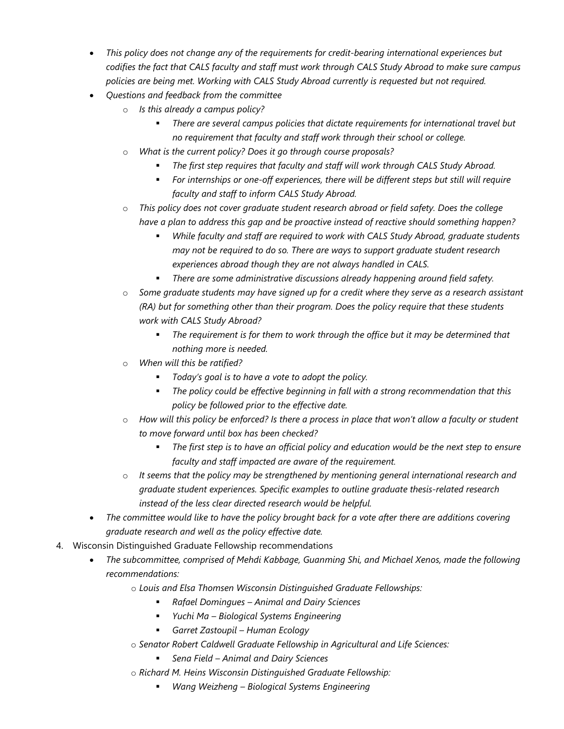- *This policy does not change any of the requirements for credit-bearing international experiences but codifies the fact that CALS faculty and staff must work through CALS Study Abroad to make sure campus policies are being met. Working with CALS Study Abroad currently is requested but not required.*
- *Questions and feedback from the committee*
	- o *Is this already a campus policy?*
		- *There are several campus policies that dictate requirements for international travel but no requirement that faculty and staff work through their school or college.*
	- o *What is the current policy? Does it go through course proposals?*
		- *The first step requires that faculty and staff will work through CALS Study Abroad.*
		- *For internships or one-off experiences, there will be different steps but still will require faculty and staff to inform CALS Study Abroad.*
	- o *This policy does not cover graduate student research abroad or field safety. Does the college have a plan to address this gap and be proactive instead of reactive should something happen?*
		- *While faculty and staff are required to work with CALS Study Abroad, graduate students may not be required to do so. There are ways to support graduate student research experiences abroad though they are not always handled in CALS.*
		- *There are some administrative discussions already happening around field safety.*
	- o *Some graduate students may have signed up for a credit where they serve as a research assistant (RA) but for something other than their program. Does the policy require that these students work with CALS Study Abroad?*
		- *The requirement is for them to work through the office but it may be determined that nothing more is needed.*
	- o *When will this be ratified?*
		- *Today's goal is to have a vote to adopt the policy.*
		- *The policy could be effective beginning in fall with a strong recommendation that this policy be followed prior to the effective date.*
	- o *How will this policy be enforced? Is there a process in place that won't allow a faculty or student to move forward until box has been checked?*
		- *The first step is to have an official policy and education would be the next step to ensure faculty and staff impacted are aware of the requirement.*
	- o *It seems that the policy may be strengthened by mentioning general international research and graduate student experiences. Specific examples to outline graduate thesis-related research instead of the less clear directed research would be helpful.*
- *The committee would like to have the policy brought back for a vote after there are additions covering graduate research and well as the policy effective date.*
- 4. Wisconsin Distinguished Graduate Fellowship recommendations
	- *The subcommittee, comprised of Mehdi Kabbage, Guanming Shi, and Michael Xenos, made the following recommendations:*
		- o *Louis and Elsa Thomsen Wisconsin Distinguished Graduate Fellowships:*
			- *Rafael Domingues – Animal and Dairy Sciences*
			- *Yuchi Ma – Biological Systems Engineering*
			- *Garret Zastoupil – Human Ecology*
		- o *Senator Robert Caldwell Graduate Fellowship in Agricultural and Life Sciences:*
			- *Sena Field – Animal and Dairy Sciences*
		- o *Richard M. Heins Wisconsin Distinguished Graduate Fellowship:*
			- *Wang Weizheng – Biological Systems Engineering*